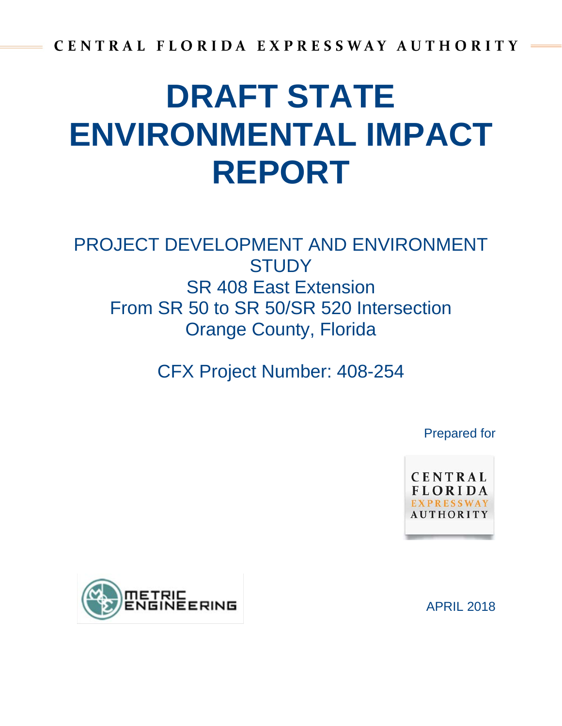# **DRAFT STATE ENVIRONMENTAL IMPACT REPORT**

## PROJECT DEVELOPMENT AND ENVIRONMENT **STUDY** SR 408 East Extension From SR 50 to SR 50/SR 520 Intersection Orange County, Florida

CFX Project Number: 408-254

Prepared for

CENTRAL **FLORIDA** UTHORIT



APRIL 2018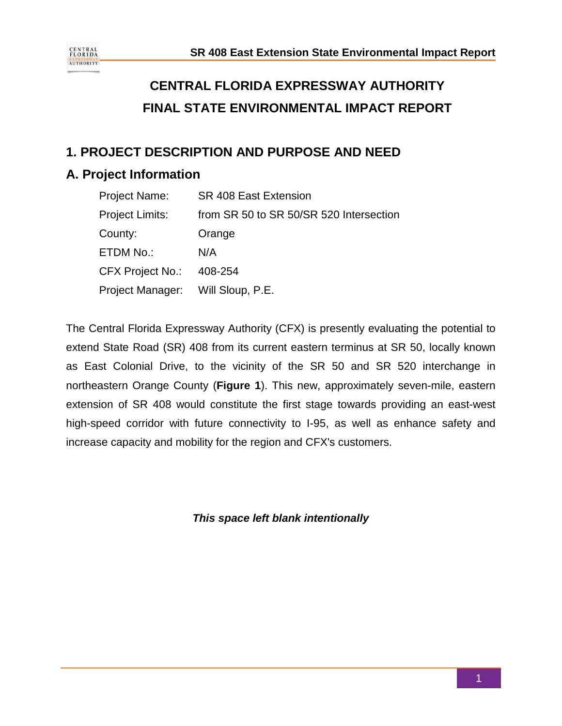

## **CENTRAL FLORIDA EXPRESSWAY AUTHORITY FINAL STATE ENVIRONMENTAL IMPACT REPORT**

## **1. PROJECT DESCRIPTION AND PURPOSE AND NEED**

## **A. Project Information**

| Project Name:                     | <b>SR 408 East Extension</b>            |
|-----------------------------------|-----------------------------------------|
| Project Limits:                   | from SR 50 to SR 50/SR 520 Intersection |
| County:                           | Orange                                  |
| ETDM No.:                         | N/A                                     |
| CFX Project No.:                  | 408-254                                 |
| Project Manager: Will Sloup, P.E. |                                         |

The Central Florida Expressway Authority (CFX) is presently evaluating the potential to extend State Road (SR) 408 from its current eastern terminus at SR 50, locally known as East Colonial Drive, to the vicinity of the SR 50 and SR 520 interchange in northeastern Orange County (**Figure 1**). This new, approximately seven-mile, eastern extension of SR 408 would constitute the first stage towards providing an east-west high-speed corridor with future connectivity to I-95, as well as enhance safety and increase capacity and mobility for the region and CFX's customers.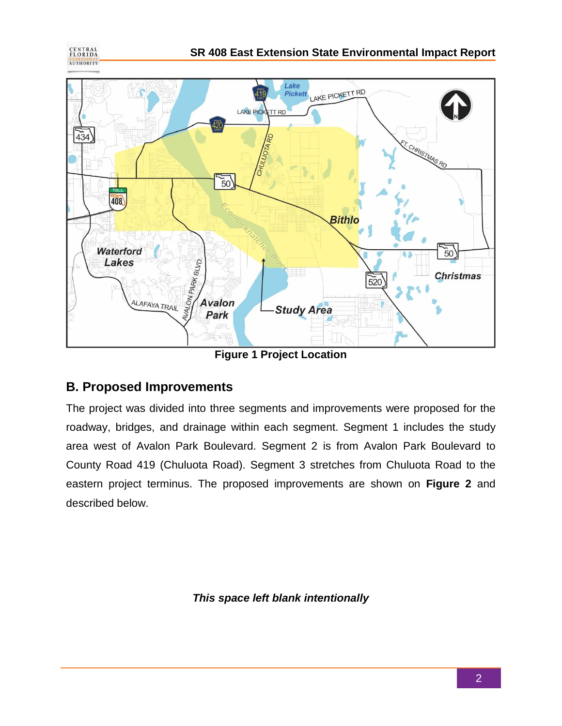



**Figure 1 Project Location**

## **B. Proposed Improvements**

The project was divided into three segments and improvements were proposed for the roadway, bridges, and drainage within each segment. Segment 1 includes the study area west of Avalon Park Boulevard. Segment 2 is from Avalon Park Boulevard to County Road 419 (Chuluota Road). Segment 3 stretches from Chuluota Road to the eastern project terminus. The proposed improvements are shown on **Figure 2** and described below.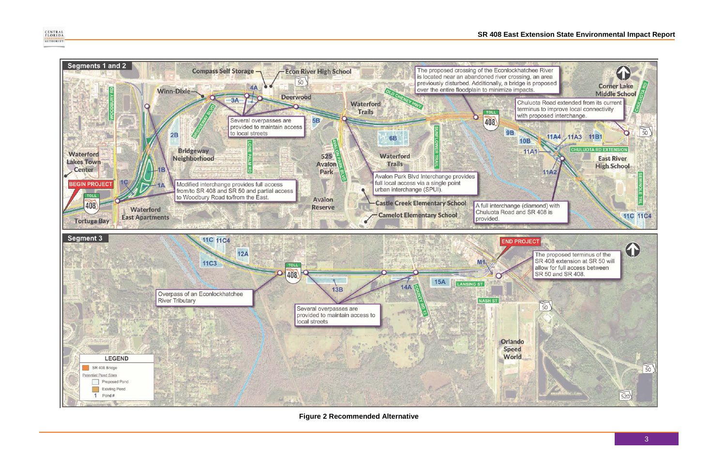#### **SR 408 East Extension State Environmental Impact Report**



**Figure 2 Recommended Alternative**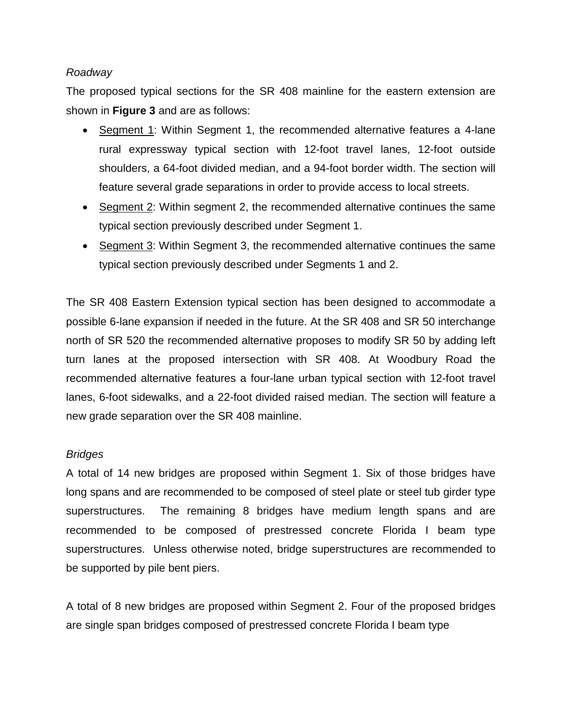#### *Roadway*

The proposed typical sections for the SR 408 mainline for the eastern extension are shown in **Figure 3** and are as follows:

- Segment 1: Within Segment 1, the recommended alternative features a 4-lane rural expressway typical section with 12-foot travel lanes, 12-foot outside shoulders, a 64-foot divided median, and a 94-foot border width. The section will feature several grade separations in order to provide access to local streets.
- Segment 2: Within segment 2, the recommended alternative continues the same typical section previously described under Segment 1.
- Segment 3: Within Segment 3, the recommended alternative continues the same typical section previously described under Segments 1 and 2.

The SR 408 Eastern Extension typical section has been designed to accommodate a possible 6-lane expansion if needed in the future. At the SR 408 and SR 50 interchange north of SR 520 the recommended alternative proposes to modify SR 50 by adding left turn lanes at the proposed intersection with SR 408. At Woodbury Road the recommended alternative features a four-lane urban typical section with 12-foot travel lanes, 6-foot sidewalks, and a 22-foot divided raised median. The section will feature a new grade separation over the SR 408 mainline.

#### *Bridges*

A total of 14 new bridges are proposed within Segment 1. Six of those bridges have long spans and are recommended to be composed of steel plate or steel tub girder type superstructures. The remaining 8 bridges have medium length spans and are recommended to be composed of prestressed concrete Florida I beam type superstructures. Unless otherwise noted, bridge superstructures are recommended to be supported by pile bent piers.

A total of 8 new bridges are proposed within Segment 2. Four of the proposed bridges are single span bridges composed of prestressed concrete Florida I beam type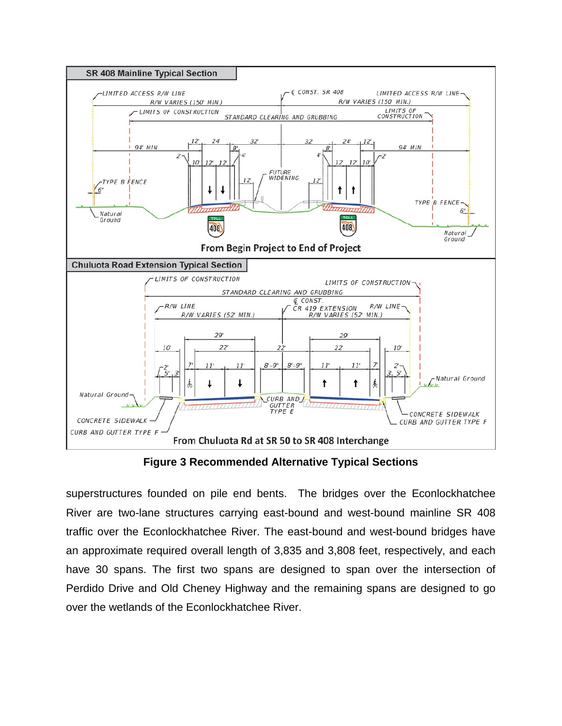

**Figure 3 Recommended Alternative Typical Sections**

superstructures founded on pile end bents. The bridges over the Econlockhatchee River are two-lane structures carrying east-bound and west-bound mainline SR 408 traffic over the Econlockhatchee River. The east-bound and west-bound bridges have an approximate required overall length of 3,835 and 3,808 feet, respectively, and each have 30 spans. The first two spans are designed to span over the intersection of Perdido Drive and Old Cheney Highway and the remaining spans are designed to go over the wetlands of the Econlockhatchee River.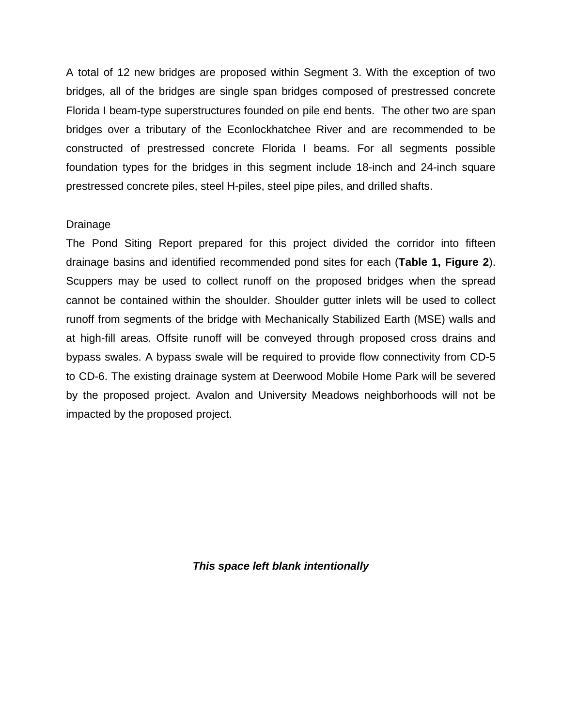A total of 12 new bridges are proposed within Segment 3. With the exception of two bridges, all of the bridges are single span bridges composed of prestressed concrete Florida I beam-type superstructures founded on pile end bents. The other two are span bridges over a tributary of the Econlockhatchee River and are recommended to be constructed of prestressed concrete Florida I beams. For all segments possible foundation types for the bridges in this segment include 18-inch and 24-inch square prestressed concrete piles, steel H-piles, steel pipe piles, and drilled shafts.

#### Drainage

The Pond Siting Report prepared for this project divided the corridor into fifteen drainage basins and identified recommended pond sites for each (**Table 1, Figure 2**). Scuppers may be used to collect runoff on the proposed bridges when the spread cannot be contained within the shoulder. Shoulder gutter inlets will be used to collect runoff from segments of the bridge with Mechanically Stabilized Earth (MSE) walls and at high-fill areas. Offsite runoff will be conveyed through proposed cross drains and bypass swales. A bypass swale will be required to provide flow connectivity from CD-5 to CD-6. The existing drainage system at Deerwood Mobile Home Park will be severed by the proposed project. Avalon and University Meadows neighborhoods will not be impacted by the proposed project.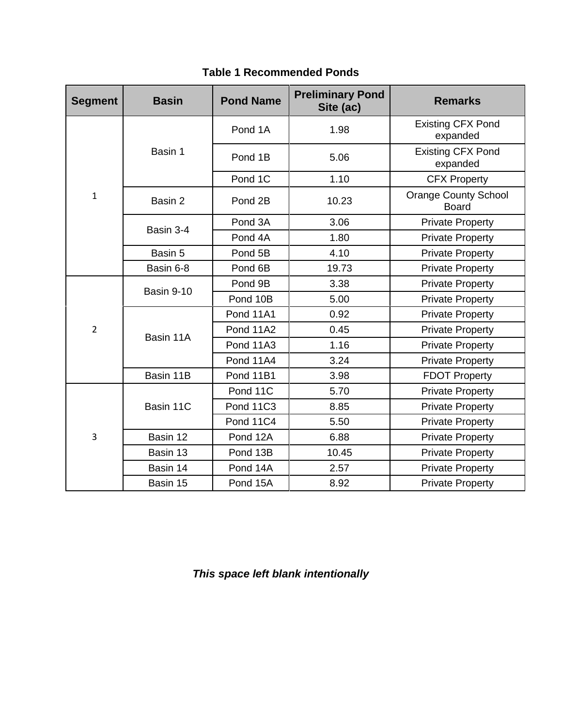| <b>Segment</b> | <b>Basin</b> | <b>Pond Name</b> | <b>Preliminary Pond</b><br>Site (ac) | <b>Remarks</b>                              |
|----------------|--------------|------------------|--------------------------------------|---------------------------------------------|
| $\mathbf{1}$   | Basin 1      | Pond 1A          | 1.98                                 | <b>Existing CFX Pond</b><br>expanded        |
|                |              | Pond 1B          | 5.06                                 | <b>Existing CFX Pond</b><br>expanded        |
|                |              | Pond 1C          | 1.10                                 | <b>CFX Property</b>                         |
|                | Basin 2      | Pond 2B          | 10.23                                | <b>Orange County School</b><br><b>Board</b> |
|                | Basin 3-4    | Pond 3A          | 3.06                                 | <b>Private Property</b>                     |
|                |              | Pond 4A          | 1.80                                 | <b>Private Property</b>                     |
|                | Basin 5      | Pond 5B          | 4.10                                 | <b>Private Property</b>                     |
|                | Basin 6-8    | Pond 6B          | 19.73                                | <b>Private Property</b>                     |
|                | Basin 9-10   | Pond 9B          | 3.38                                 | <b>Private Property</b>                     |
|                |              | Pond 10B         | 5.00                                 | <b>Private Property</b>                     |
|                | Basin 11A    | Pond 11A1        | 0.92                                 | <b>Private Property</b>                     |
| $\overline{2}$ |              | Pond 11A2        | 0.45                                 | <b>Private Property</b>                     |
|                |              | Pond 11A3        | 1.16                                 | <b>Private Property</b>                     |
|                |              | Pond 11A4        | 3.24                                 | <b>Private Property</b>                     |
|                | Basin 11B    | Pond 11B1        | 3.98                                 | <b>FDOT Property</b>                        |
| 3              | Basin 11C    | Pond 11C         | 5.70                                 | <b>Private Property</b>                     |
|                |              | Pond 11C3        | 8.85                                 | <b>Private Property</b>                     |
|                |              | Pond 11C4        | 5.50                                 | <b>Private Property</b>                     |
|                | Basin 12     | Pond 12A         | 6.88                                 | <b>Private Property</b>                     |
|                | Basin 13     | Pond 13B         | 10.45                                | <b>Private Property</b>                     |
|                | Basin 14     | Pond 14A         | 2.57                                 | <b>Private Property</b>                     |
|                | Basin 15     | Pond 15A         | 8.92                                 | <b>Private Property</b>                     |

#### **Table 1 Recommended Ponds**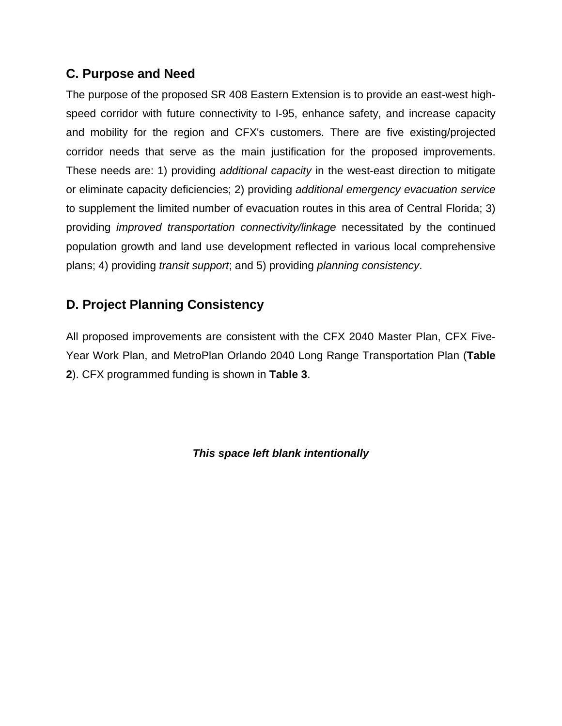## **C. Purpose and Need**

The purpose of the proposed SR 408 Eastern Extension is to provide an east-west highspeed corridor with future connectivity to I-95, enhance safety, and increase capacity and mobility for the region and CFX's customers. There are five existing/projected corridor needs that serve as the main justification for the proposed improvements. These needs are: 1) providing *additional capacity* in the west-east direction to mitigate or eliminate capacity deficiencies; 2) providing *additional emergency evacuation service* to supplement the limited number of evacuation routes in this area of Central Florida; 3) providing *improved transportation connectivity/linkage* necessitated by the continued population growth and land use development reflected in various local comprehensive plans; 4) providing *transit support*; and 5) providing *planning consistency*.

## **D. Project Planning Consistency**

All proposed improvements are consistent with the CFX 2040 Master Plan, CFX Five-Year Work Plan, and MetroPlan Orlando 2040 Long Range Transportation Plan (**Table 2**). CFX programmed funding is shown in **Table 3**.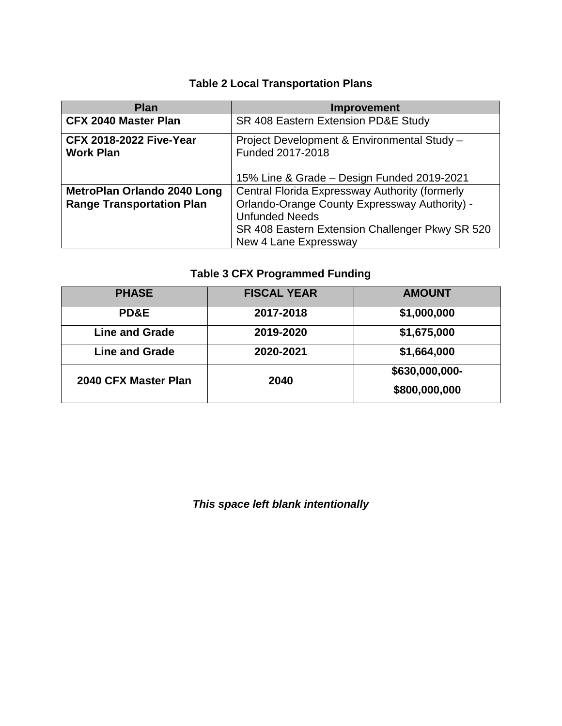## **Table 2 Local Transportation Plans**

| <b>Plan</b>                                        | <b>Improvement</b>                                              |  |  |
|----------------------------------------------------|-----------------------------------------------------------------|--|--|
| <b>CFX 2040 Master Plan</b>                        | SR 408 Eastern Extension PD&E Study                             |  |  |
| <b>CFX 2018-2022 Five-Year</b><br><b>Work Plan</b> | Project Development & Environmental Study -<br>Funded 2017-2018 |  |  |
|                                                    | 15% Line & Grade – Design Funded 2019-2021                      |  |  |
| <b>MetroPlan Orlando 2040 Long</b>                 | Central Florida Expressway Authority (formerly                  |  |  |
| <b>Range Transportation Plan</b>                   | Orlando-Orange County Expressway Authority) -                   |  |  |
|                                                    | <b>Unfunded Needs</b>                                           |  |  |
|                                                    | SR 408 Eastern Extension Challenger Pkwy SR 520                 |  |  |
|                                                    | New 4 Lane Expressway                                           |  |  |

## **Table 3 CFX Programmed Funding**

| <b>PHASE</b>          | <b>FISCAL YEAR</b> | <b>AMOUNT</b>  |
|-----------------------|--------------------|----------------|
| <b>PD&amp;E</b>       | 2017-2018          | \$1,000,000    |
| <b>Line and Grade</b> | 2019-2020          | \$1,675,000    |
| <b>Line and Grade</b> | 2020-2021          | \$1,664,000    |
| 2040 CFX Master Plan  | 2040               | \$630,000,000- |
|                       |                    | \$800,000,000  |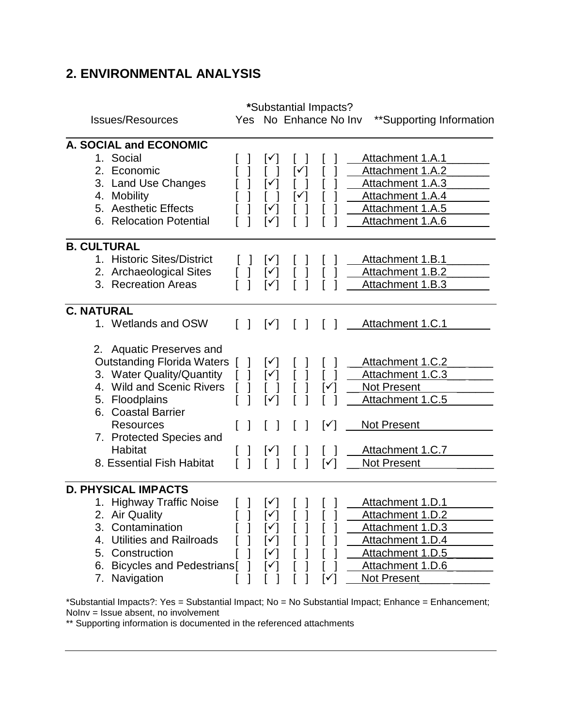## **2. ENVIRONMENTAL ANALYSIS**

| <b>Issues/Resources</b>                                                                                                                                                                                                                                                                                                           | Yes |                                         | *Substantial Impacts?<br>No Enhance No Inv                  | **Supporting Information                                                                                                                                    |
|-----------------------------------------------------------------------------------------------------------------------------------------------------------------------------------------------------------------------------------------------------------------------------------------------------------------------------------|-----|-----------------------------------------|-------------------------------------------------------------|-------------------------------------------------------------------------------------------------------------------------------------------------------------|
| A. SOCIAL and ECONOMIC<br>1. Social<br>2.<br>Economic<br><b>Land Use Changes</b><br>3.<br><b>Mobility</b><br>4.<br><b>Aesthetic Effects</b><br>5.<br><b>Relocation Potential</b><br>6.                                                                                                                                            |     | ∣✓                                      |                                                             | Attachment 1.A.1<br>Attachment 1.A.2<br>Attachment 1.A.3<br>Attachment 1.A.4<br>Attachment 1.A.5<br>Attachment 1.A.6                                        |
| <b>B. CULTURAL</b><br>1. Historic Sites/District<br>2. Archaeological Sites<br>3. Recreation Areas                                                                                                                                                                                                                                |     | $[\checkmark]$<br>I√                    |                                                             | Attachment 1.B.1<br>Attachment 1.B.2<br>Attachment 1.B.3                                                                                                    |
| <b>C. NATURAL</b><br>1. Wetlands and OSW<br><b>Aquatic Preserves and</b><br>2.<br><b>Outstanding Florida Waters</b><br>3. Water Quality/Quantity<br>4. Wild and Scenic Rivers<br>Floodplains<br>5.<br><b>Coastal Barrier</b><br>6.<br><b>Resources</b><br>7. Protected Species and<br><b>Habitat</b><br>8. Essential Fish Habitat |     | $\lceil \checkmark \rceil$<br>▎✓▏<br>⊺✓ | $\mathsf{I}^\checkmark$<br>$\lceil \checkmark \rceil$<br>∣✔ | Attachment 1.C.1<br>Attachment 1.C.2<br>Attachment 1.C.3<br>Not Present<br>Attachment 1.C.5<br><b>Not Present</b><br>Attachment 1.C.7<br><b>Not Present</b> |
| <b>D. PHYSICAL IMPACTS</b><br>1. Highway Traffic Noise<br>2. Air Quality<br>Contamination<br>3.<br><b>Utilities and Railroads</b><br>4.<br>5.<br>Construction<br><b>Bicycles and Pedestrians</b><br>6.<br>Navigation<br>7.                                                                                                        |     | [✓  <br>ا ∨ا                            | I۷                                                          | Attachment 1.D.1<br>Attachment 1.D.2<br>Attachment 1.D.3<br>Attachment 1.D.4<br>Attachment 1.D.5<br>Attachment 1.D.6<br>Not Present                         |

\*Substantial Impacts?: Yes = Substantial Impact; No = No Substantial Impact; Enhance = Enhancement; NoInv = Issue absent, no involvement

\*\* Supporting information is documented in the referenced attachments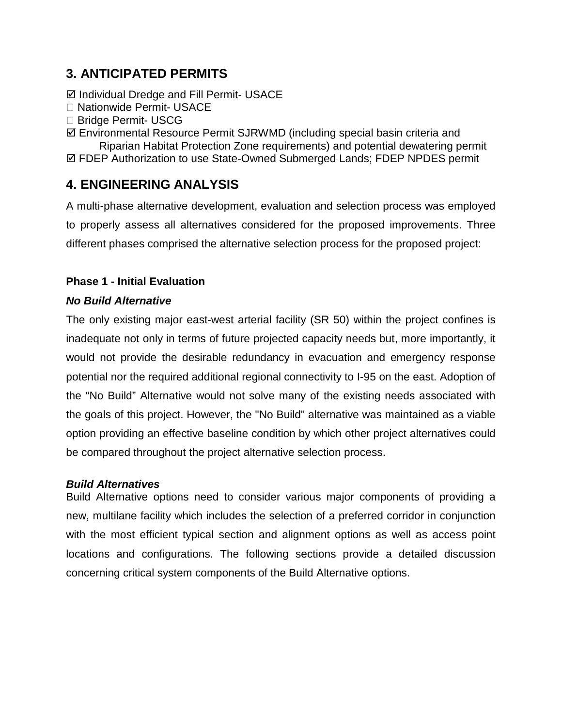## **3. ANTICIPATED PERMITS**

Individual Dredge and Fill Permit- USACE

- □ Nationwide Permit- USACE
- □ Bridge Permit- USCG
- Environmental Resource Permit SJRWMD (including special basin criteria and

Riparian Habitat Protection Zone requirements) and potential dewatering permit FDEP Authorization to use State-Owned Submerged Lands; FDEP NPDES permit

## **4. ENGINEERING ANALYSIS**

A multi-phase alternative development, evaluation and selection process was employed to properly assess all alternatives considered for the proposed improvements. Three different phases comprised the alternative selection process for the proposed project:

#### **Phase 1 - Initial Evaluation**

#### *No Build Alternative*

The only existing major east-west arterial facility (SR 50) within the project confines is inadequate not only in terms of future projected capacity needs but, more importantly, it would not provide the desirable redundancy in evacuation and emergency response potential nor the required additional regional connectivity to I-95 on the east. Adoption of the "No Build" Alternative would not solve many of the existing needs associated with the goals of this project. However, the "No Build" alternative was maintained as a viable option providing an effective baseline condition by which other project alternatives could be compared throughout the project alternative selection process.

#### *Build Alternatives*

Build Alternative options need to consider various major components of providing a new, multilane facility which includes the selection of a preferred corridor in conjunction with the most efficient typical section and alignment options as well as access point locations and configurations. The following sections provide a detailed discussion concerning critical system components of the Build Alternative options.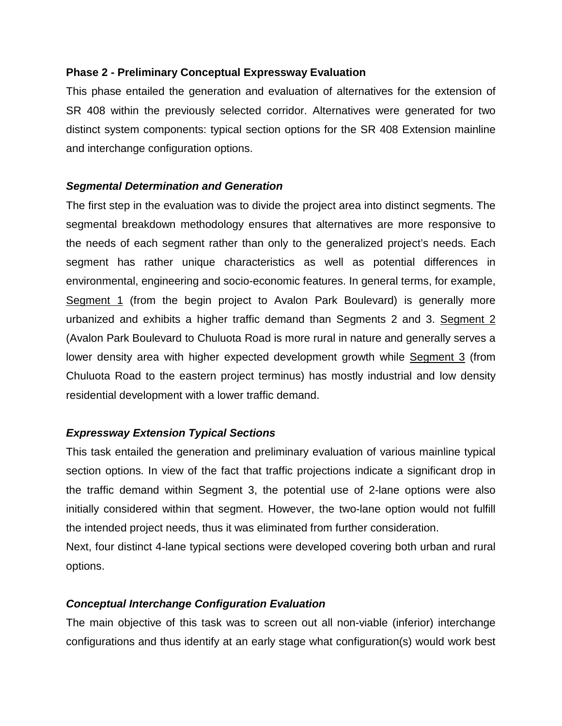#### **Phase 2 - Preliminary Conceptual Expressway Evaluation**

This phase entailed the generation and evaluation of alternatives for the extension of SR 408 within the previously selected corridor. Alternatives were generated for two distinct system components: typical section options for the SR 408 Extension mainline and interchange configuration options.

#### *Segmental Determination and Generation*

The first step in the evaluation was to divide the project area into distinct segments. The segmental breakdown methodology ensures that alternatives are more responsive to the needs of each segment rather than only to the generalized project's needs. Each segment has rather unique characteristics as well as potential differences in environmental, engineering and socio-economic features. In general terms, for example, Segment 1 (from the begin project to Avalon Park Boulevard) is generally more urbanized and exhibits a higher traffic demand than Segments 2 and 3. Segment 2 (Avalon Park Boulevard to Chuluota Road is more rural in nature and generally serves a lower density area with higher expected development growth while Segment 3 (from Chuluota Road to the eastern project terminus) has mostly industrial and low density residential development with a lower traffic demand.

#### *Expressway Extension Typical Sections*

This task entailed the generation and preliminary evaluation of various mainline typical section options. In view of the fact that traffic projections indicate a significant drop in the traffic demand within Segment 3, the potential use of 2-lane options were also initially considered within that segment. However, the two-lane option would not fulfill the intended project needs, thus it was eliminated from further consideration.

Next, four distinct 4-lane typical sections were developed covering both urban and rural options.

#### *Conceptual Interchange Configuration Evaluation*

The main objective of this task was to screen out all non-viable (inferior) interchange configurations and thus identify at an early stage what configuration(s) would work best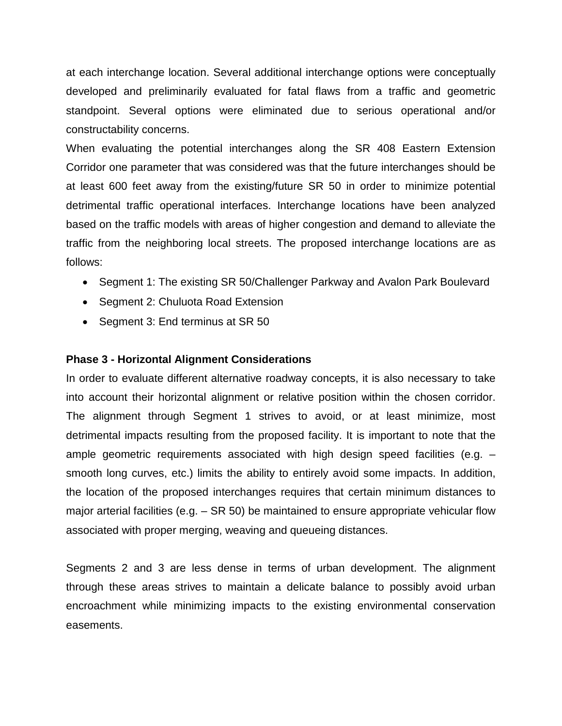at each interchange location. Several additional interchange options were conceptually developed and preliminarily evaluated for fatal flaws from a traffic and geometric standpoint. Several options were eliminated due to serious operational and/or constructability concerns.

When evaluating the potential interchanges along the SR 408 Eastern Extension Corridor one parameter that was considered was that the future interchanges should be at least 600 feet away from the existing/future SR 50 in order to minimize potential detrimental traffic operational interfaces. Interchange locations have been analyzed based on the traffic models with areas of higher congestion and demand to alleviate the traffic from the neighboring local streets. The proposed interchange locations are as follows:

- Segment 1: The existing SR 50/Challenger Parkway and Avalon Park Boulevard
- Segment 2: Chuluota Road Extension
- Segment 3: End terminus at SR 50

#### **Phase 3 - Horizontal Alignment Considerations**

In order to evaluate different alternative roadway concepts, it is also necessary to take into account their horizontal alignment or relative position within the chosen corridor. The alignment through Segment 1 strives to avoid, or at least minimize, most detrimental impacts resulting from the proposed facility. It is important to note that the ample geometric requirements associated with high design speed facilities (e.g. – smooth long curves, etc.) limits the ability to entirely avoid some impacts. In addition, the location of the proposed interchanges requires that certain minimum distances to major arterial facilities (e.g. – SR 50) be maintained to ensure appropriate vehicular flow associated with proper merging, weaving and queueing distances.

Segments 2 and 3 are less dense in terms of urban development. The alignment through these areas strives to maintain a delicate balance to possibly avoid urban encroachment while minimizing impacts to the existing environmental conservation easements.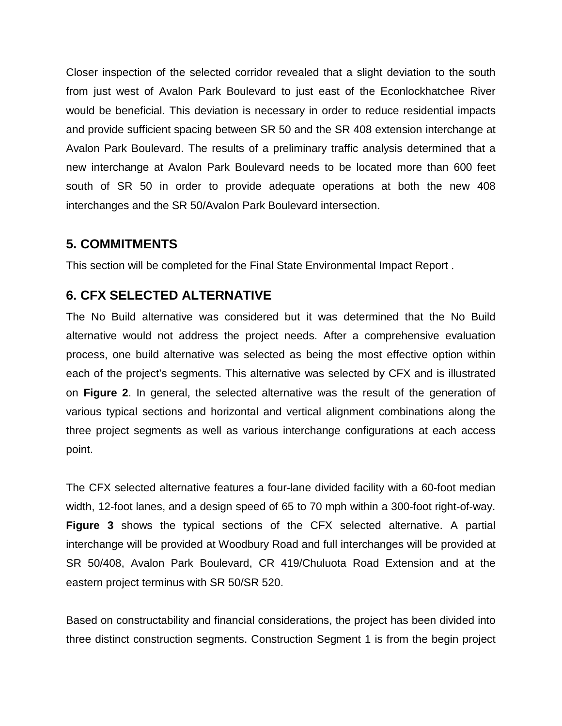Closer inspection of the selected corridor revealed that a slight deviation to the south from just west of Avalon Park Boulevard to just east of the Econlockhatchee River would be beneficial. This deviation is necessary in order to reduce residential impacts and provide sufficient spacing between SR 50 and the SR 408 extension interchange at Avalon Park Boulevard. The results of a preliminary traffic analysis determined that a new interchange at Avalon Park Boulevard needs to be located more than 600 feet south of SR 50 in order to provide adequate operations at both the new 408 interchanges and the SR 50/Avalon Park Boulevard intersection.

#### **5. COMMITMENTS**

This section will be completed for the Final State Environmental Impact Report .

#### **6. CFX SELECTED ALTERNATIVE**

The No Build alternative was considered but it was determined that the No Build alternative would not address the project needs. After a comprehensive evaluation process, one build alternative was selected as being the most effective option within each of the project's segments. This alternative was selected by CFX and is illustrated on **Figure 2**. In general, the selected alternative was the result of the generation of various typical sections and horizontal and vertical alignment combinations along the three project segments as well as various interchange configurations at each access point.

The CFX selected alternative features a four-lane divided facility with a 60-foot median width, 12-foot lanes, and a design speed of 65 to 70 mph within a 300-foot right-of-way. **Figure 3** shows the typical sections of the CFX selected alternative. A partial interchange will be provided at Woodbury Road and full interchanges will be provided at SR 50/408, Avalon Park Boulevard, CR 419/Chuluota Road Extension and at the eastern project terminus with SR 50/SR 520.

Based on constructability and financial considerations, the project has been divided into three distinct construction segments. Construction Segment 1 is from the begin project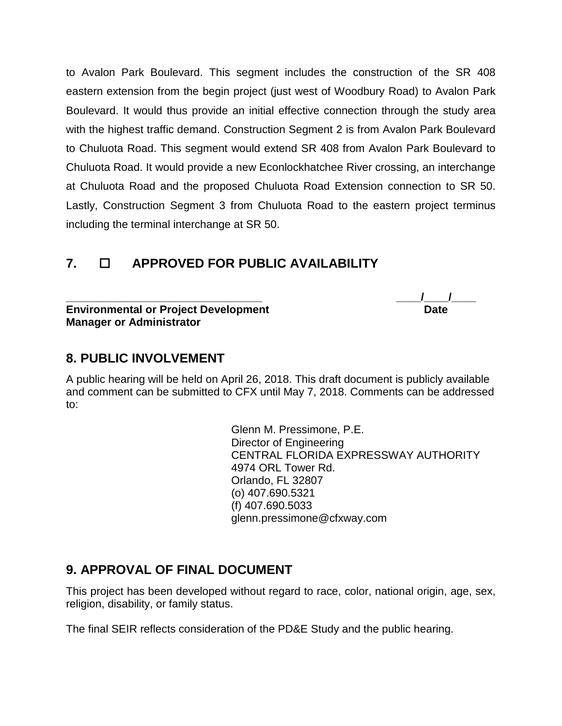to Avalon Park Boulevard. This segment includes the construction of the SR 408 eastern extension from the begin project (just west of Woodbury Road) to Avalon Park Boulevard. It would thus provide an initial effective connection through the study area with the highest traffic demand. Construction Segment 2 is from Avalon Park Boulevard to Chuluota Road. This segment would extend SR 408 from Avalon Park Boulevard to Chuluota Road. It would provide a new Econlockhatchee River crossing, an interchange at Chuluota Road and the proposed Chuluota Road Extension connection to SR 50. Lastly, Construction Segment 3 from Chuluota Road to the eastern project terminus including the terminal interchange at SR 50.

## **7. APPROVED FOR PUBLIC AVAILABILITY**

**Environmental or Project Development Manager or Administrator**

**\_\_\_\_\_\_\_\_\_\_\_\_\_\_\_\_\_\_\_\_\_\_\_\_\_\_\_\_\_\_\_\_ \_\_\_\_/\_\_\_\_/\_\_\_\_**

#### **8. PUBLIC INVOLVEMENT**

A public hearing will be held on April 26, 2018. This draft document is publicly available and comment can be submitted to CFX until May 7, 2018. Comments can be addressed to:

> Glenn M. Pressimone, P.E. Director of Engineering CENTRAL FLORIDA EXPRESSWAY AUTHORITY 4974 ORL Tower Rd. Orlando, FL 32807 (o) 407.690.5321 (f) 407.690.5033 glenn.pressimone@cfxway.com

### **9. APPROVAL OF FINAL DOCUMENT**

This project has been developed without regard to race, color, national origin, age, sex, religion, disability, or family status.

The final SEIR reflects consideration of the PD&E Study and the public hearing.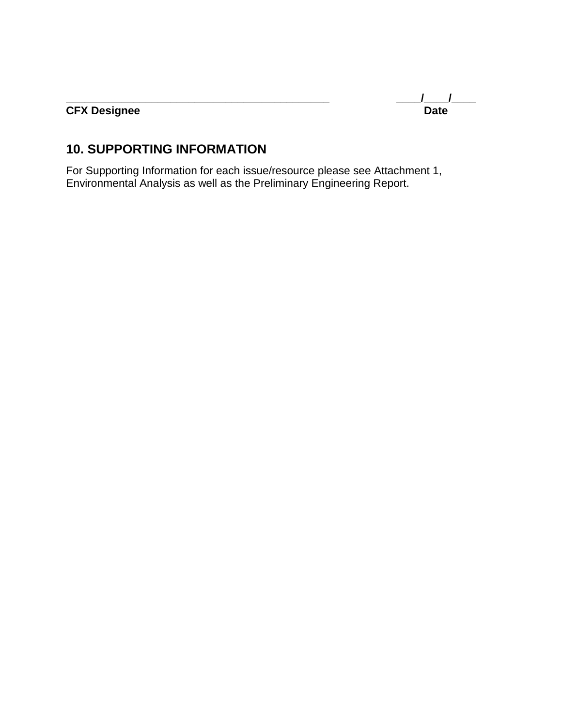**\_\_\_\_\_\_\_\_\_\_\_\_\_\_\_\_\_\_\_\_\_\_\_\_\_\_\_\_\_\_\_\_\_\_\_\_\_\_\_\_\_\_\_ \_\_\_\_/\_\_\_\_/\_\_\_\_**

#### **CFX Designee Date**

## **10. SUPPORTING INFORMATION**

For Supporting Information for each issue/resource please see Attachment 1, Environmental Analysis as well as the Preliminary Engineering Report.